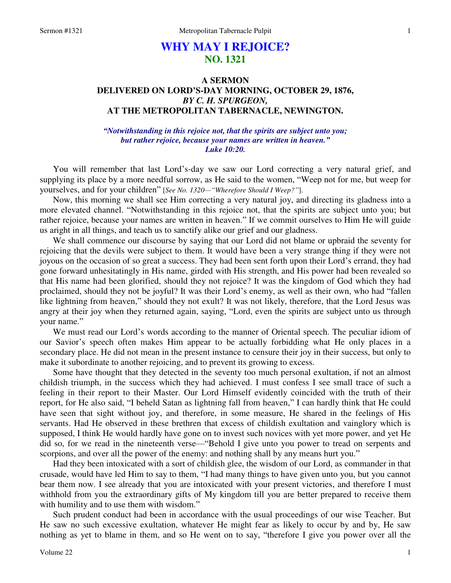# **WHY MAY I REJOICE? NO. 1321**

## **A SERMON DELIVERED ON LORD'S-DAY MORNING, OCTOBER 29, 1876,**  *BY C. H. SPURGEON,*  **AT THE METROPOLITAN TABERNACLE, NEWINGTON.**

#### *"Notwithstanding in this rejoice not, that the spirits are subject unto you; but rather rejoice, because your names are written in heaven." Luke 10:20.*

You will remember that last Lord's-day we saw our Lord correcting a very natural grief, and supplying its place by a more needful sorrow, as He said to the women, "Weep not for me, but weep for yourselves, and for your children" [*See No. 1320—"Wherefore Should I Weep?"*].

 Now, this morning we shall see Him correcting a very natural joy, and directing its gladness into a more elevated channel. "Notwithstanding in this rejoice not, that the spirits are subject unto you; but rather rejoice, because your names are written in heaven." If we commit ourselves to Him He will guide us aright in all things, and teach us to sanctify alike our grief and our gladness.

 We shall commence our discourse by saying that our Lord did not blame or upbraid the seventy for rejoicing that the devils were subject to them. It would have been a very strange thing if they were not joyous on the occasion of so great a success. They had been sent forth upon their Lord's errand, they had gone forward unhesitatingly in His name, girded with His strength, and His power had been revealed so that His name had been glorified, should they not rejoice? It was the kingdom of God which they had proclaimed, should they not be joyful? It was their Lord's enemy, as well as their own, who had "fallen like lightning from heaven," should they not exult? It was not likely, therefore, that the Lord Jesus was angry at their joy when they returned again, saying, "Lord, even the spirits are subject unto us through your name."

 We must read our Lord's words according to the manner of Oriental speech. The peculiar idiom of our Savior's speech often makes Him appear to be actually forbidding what He only places in a secondary place. He did not mean in the present instance to censure their joy in their success, but only to make it subordinate to another rejoicing, and to prevent its growing to excess.

 Some have thought that they detected in the seventy too much personal exultation, if not an almost childish triumph, in the success which they had achieved. I must confess I see small trace of such a feeling in their report to their Master. Our Lord Himself evidently coincided with the truth of their report, for He also said, "I beheld Satan as lightning fall from heaven," I can hardly think that He could have seen that sight without joy, and therefore, in some measure, He shared in the feelings of His servants. Had He observed in these brethren that excess of childish exultation and vainglory which is supposed, I think He would hardly have gone on to invest such novices with yet more power, and yet He did so, for we read in the nineteenth verse—"Behold I give unto you power to tread on serpents and scorpions, and over all the power of the enemy: and nothing shall by any means hurt you."

 Had they been intoxicated with a sort of childish glee, the wisdom of our Lord, as commander in that crusade, would have led Him to say to them, "I had many things to have given unto you, but you cannot bear them now. I see already that you are intoxicated with your present victories, and therefore I must withhold from you the extraordinary gifts of My kingdom till you are better prepared to receive them with humility and to use them with wisdom."

 Such prudent conduct had been in accordance with the usual proceedings of our wise Teacher. But He saw no such excessive exultation, whatever He might fear as likely to occur by and by, He saw nothing as yet to blame in them, and so He went on to say, "therefore I give you power over all the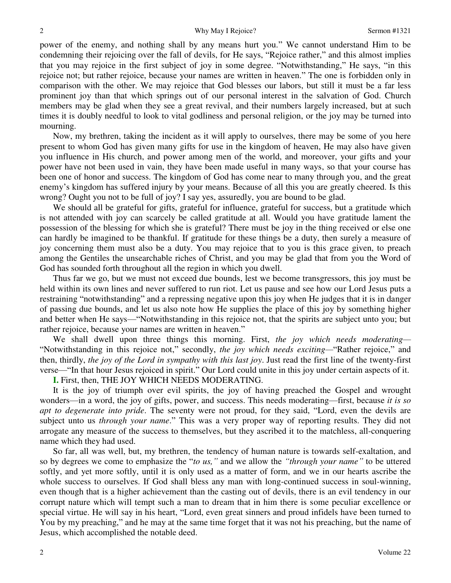power of the enemy, and nothing shall by any means hurt you." We cannot understand Him to be condemning their rejoicing over the fall of devils, for He says, "Rejoice rather," and this almost implies that you may rejoice in the first subject of joy in some degree. "Notwithstanding," He says, "in this rejoice not; but rather rejoice, because your names are written in heaven." The one is forbidden only in comparison with the other. We may rejoice that God blesses our labors, but still it must be a far less prominent joy than that which springs out of our personal interest in the salvation of God. Church members may be glad when they see a great revival, and their numbers largely increased, but at such times it is doubly needful to look to vital godliness and personal religion, or the joy may be turned into mourning.

 Now, my brethren, taking the incident as it will apply to ourselves, there may be some of you here present to whom God has given many gifts for use in the kingdom of heaven, He may also have given you influence in His church, and power among men of the world, and moreover, your gifts and your power have not been used in vain, they have been made useful in many ways, so that your course has been one of honor and success. The kingdom of God has come near to many through you, and the great enemy's kingdom has suffered injury by your means. Because of all this you are greatly cheered. Is this wrong? Ought you not to be full of joy? I say yes, assuredly, you are bound to be glad.

We should all be grateful for gifts, grateful for influence, grateful for success, but a gratitude which is not attended with joy can scarcely be called gratitude at all. Would you have gratitude lament the possession of the blessing for which she is grateful? There must be joy in the thing received or else one can hardly be imagined to be thankful. If gratitude for these things be a duty, then surely a measure of joy concerning them must also be a duty. You may rejoice that to you is this grace given, to preach among the Gentiles the unsearchable riches of Christ, and you may be glad that from you the Word of God has sounded forth throughout all the region in which you dwell.

 Thus far we go, but we must not exceed due bounds, lest we become transgressors, this joy must be held within its own lines and never suffered to run riot. Let us pause and see how our Lord Jesus puts a restraining "notwithstanding" and a repressing negative upon this joy when He judges that it is in danger of passing due bounds, and let us also note how He supplies the place of this joy by something higher and better when He says—"Notwithstanding in this rejoice not, that the spirits are subject unto you; but rather rejoice, because your names are written in heaven."

 We shall dwell upon three things this morning. First, *the joy which needs moderating—* "Notwithstanding in this rejoice not," secondly, *the joy which needs exciting—*"Rather rejoice," and then, thirdly, *the joy of the Lord in sympathy with this last joy*. Just read the first line of the twenty-first verse—"In that hour Jesus rejoiced in spirit." Our Lord could unite in this joy under certain aspects of it.

**I.** First, then, THE JOY WHICH NEEDS MODERATING.

 It is the joy of triumph over evil spirits, the joy of having preached the Gospel and wrought wonders—in a word, the joy of gifts, power, and success. This needs moderating—first, because *it is so apt to degenerate into pride*. The seventy were not proud, for they said, "Lord, even the devils are subject unto us *through your name*." This was a very proper way of reporting results. They did not arrogate any measure of the success to themselves, but they ascribed it to the matchless, all-conquering name which they had used.

 So far, all was well, but, my brethren, the tendency of human nature is towards self-exaltation, and so by degrees we come to emphasize the "*to us,"* and we allow the *"through your name"* to be uttered softly, and yet more softly, until it is only used as a matter of form, and we in our hearts ascribe the whole success to ourselves. If God shall bless any man with long-continued success in soul-winning, even though that is a higher achievement than the casting out of devils, there is an evil tendency in our corrupt nature which will tempt such a man to dream that in him there is some peculiar excellence or special virtue. He will say in his heart, "Lord, even great sinners and proud infidels have been turned to You by my preaching," and he may at the same time forget that it was not his preaching, but the name of Jesus, which accomplished the notable deed.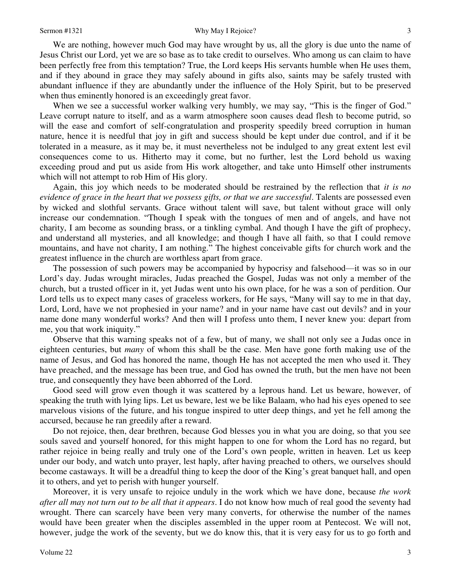We are nothing, however much God may have wrought by us, all the glory is due unto the name of Jesus Christ our Lord, yet we are so base as to take credit to ourselves. Who among us can claim to have been perfectly free from this temptation? True, the Lord keeps His servants humble when He uses them, and if they abound in grace they may safely abound in gifts also, saints may be safely trusted with abundant influence if they are abundantly under the influence of the Holy Spirit, but to be preserved when thus eminently honored is an exceedingly great favor.

When we see a successful worker walking very humbly, we may say, "This is the finger of God." Leave corrupt nature to itself, and as a warm atmosphere soon causes dead flesh to become putrid, so will the ease and comfort of self-congratulation and prosperity speedily breed corruption in human nature, hence it is needful that joy in gift and success should be kept under due control, and if it be tolerated in a measure, as it may be, it must nevertheless not be indulged to any great extent lest evil consequences come to us. Hitherto may it come, but no further, lest the Lord behold us waxing exceeding proud and put us aside from His work altogether, and take unto Himself other instruments which will not attempt to rob Him of His glory.

 Again, this joy which needs to be moderated should be restrained by the reflection that *it is no evidence of grace in the heart that we possess gifts, or that we are successful*. Talents are possessed even by wicked and slothful servants. Grace without talent will save, but talent without grace will only increase our condemnation. "Though I speak with the tongues of men and of angels, and have not charity, I am become as sounding brass, or a tinkling cymbal. And though I have the gift of prophecy, and understand all mysteries, and all knowledge; and though I have all faith, so that I could remove mountains, and have not charity, I am nothing." The highest conceivable gifts for church work and the greatest influence in the church are worthless apart from grace.

 The possession of such powers may be accompanied by hypocrisy and falsehood—it was so in our Lord's day. Judas wrought miracles, Judas preached the Gospel, Judas was not only a member of the church, but a trusted officer in it, yet Judas went unto his own place, for he was a son of perdition. Our Lord tells us to expect many cases of graceless workers, for He says, "Many will say to me in that day, Lord, Lord, have we not prophesied in your name? and in your name have cast out devils? and in your name done many wonderful works? And then will I profess unto them, I never knew you: depart from me, you that work iniquity."

 Observe that this warning speaks not of a few, but of many, we shall not only see a Judas once in eighteen centuries, but *many* of whom this shall be the case. Men have gone forth making use of the name of Jesus, and God has honored the name, though He has not accepted the men who used it. They have preached, and the message has been true, and God has owned the truth, but the men have not been true, and consequently they have been abhorred of the Lord.

 Good seed will grow even though it was scattered by a leprous hand. Let us beware, however, of speaking the truth with lying lips. Let us beware, lest we be like Balaam, who had his eyes opened to see marvelous visions of the future, and his tongue inspired to utter deep things, and yet he fell among the accursed, because he ran greedily after a reward.

 Do not rejoice, then, dear brethren, because God blesses you in what you are doing, so that you see souls saved and yourself honored, for this might happen to one for whom the Lord has no regard, but rather rejoice in being really and truly one of the Lord's own people, written in heaven. Let us keep under our body, and watch unto prayer, lest haply, after having preached to others, we ourselves should become castaways. It will be a dreadful thing to keep the door of the King's great banquet hall, and open it to others, and yet to perish with hunger yourself.

 Moreover, it is very unsafe to rejoice unduly in the work which we have done, because *the work after all may not turn out to be all that it appears*. I do not know how much of real good the seventy had wrought. There can scarcely have been very many converts, for otherwise the number of the names would have been greater when the disciples assembled in the upper room at Pentecost. We will not, however, judge the work of the seventy, but we do know this, that it is very easy for us to go forth and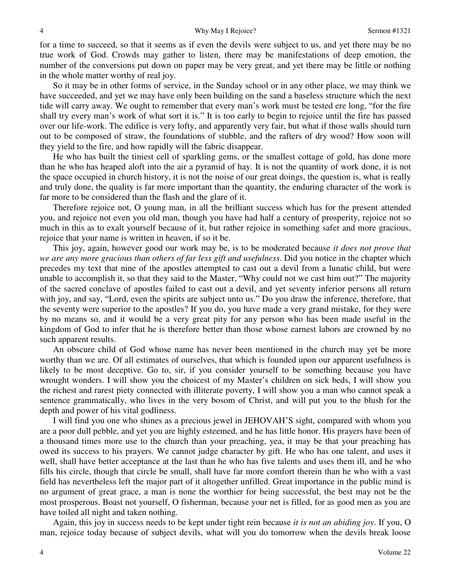for a time to succeed, so that it seems as if even the devils were subject to us, and yet there may be no true work of God. Crowds may gather to listen, there may be manifestations of deep emotion, the number of the conversions put down on paper may be very great, and yet there may be little or nothing in the whole matter worthy of real joy.

 So it may be in other forms of service, in the Sunday school or in any other place, we may think we have succeeded, and yet we may have only been building on the sand a baseless structure which the next tide will carry away. We ought to remember that every man's work must be tested ere long, "for the fire shall try every man's work of what sort it is." It is too early to begin to rejoice until the fire has passed over our life-work. The edifice is very lofty, and apparently very fair, but what if those walls should turn out to be composed of straw, the foundations of stubble, and the rafters of dry wood? How soon will they yield to the fire, and how rapidly will the fabric disappear.

 He who has built the tiniest cell of sparkling gems, or the smallest cottage of gold, has done more than he who has heaped aloft into the air a pyramid of hay. It is not the quantity of work done, it is not the space occupied in church history, it is not the noise of our great doings, the question is, what is really and truly done, the quality is far more important than the quantity, the enduring character of the work is far more to be considered than the flash and the glare of it.

 Therefore rejoice not, O young man, in all the brilliant success which has for the present attended you, and rejoice not even you old man, though you have had half a century of prosperity, rejoice not so much in this as to exalt yourself because of it, but rather rejoice in something safer and more gracious, rejoice that your name is written in heaven, if so it be.

 This joy, again, however good our work may be, is to be moderated because *it does not prove that we are any more gracious than others of far less gift and usefulness*. Did you notice in the chapter which precedes my text that nine of the apostles attempted to cast out a devil from a lunatic child, but were unable to accomplish it, so that they said to the Master, "Why could not we cast him out?" The majority of the sacred conclave of apostles failed to cast out a devil, and yet seventy inferior persons all return with joy, and say, "Lord, even the spirits are subject unto us." Do you draw the inference, therefore, that the seventy were superior to the apostles? If you do, you have made a very grand mistake, for they were by no means so, and it would be a very great pity for any person who has been made useful in the kingdom of God to infer that he is therefore better than those whose earnest labors are crowned by no such apparent results.

 An obscure child of God whose name has never been mentioned in the church may yet be more worthy than we are. Of all estimates of ourselves, that which is founded upon our apparent usefulness is likely to be most deceptive. Go to, sir, if you consider yourself to be something because you have wrought wonders. I will show you the choicest of my Master's children on sick beds, I will show you the richest and rarest piety connected with illiterate poverty, I will show you a man who cannot speak a sentence grammatically, who lives in the very bosom of Christ, and will put you to the blush for the depth and power of his vital godliness.

 I will find you one who shines as a precious jewel in JEHOVAH'S sight, compared with whom you are a poor dull pebble, and yet you are highly esteemed, and he has little honor. His prayers have been of a thousand times more use to the church than your preaching, yea, it may be that your preaching has owed its success to his prayers. We cannot judge character by gift. He who has one talent, and uses it well, shall have better acceptance at the last than he who has five talents and uses them ill, and he who fills his circle, though that circle be small, shall have far more comfort therein than he who with a vast field has nevertheless left the major part of it altogether unfilled. Great importance in the public mind is no argument of great grace, a man is none the worthier for being successful, the best may not be the most prosperous. Boast not yourself, O fisherman, because your net is filled, for as good men as you are have toiled all night and taken nothing.

 Again, this joy in success needs to be kept under tight rein because *it is not an abiding joy*. If you, O man, rejoice today because of subject devils, what will you do tomorrow when the devils break loose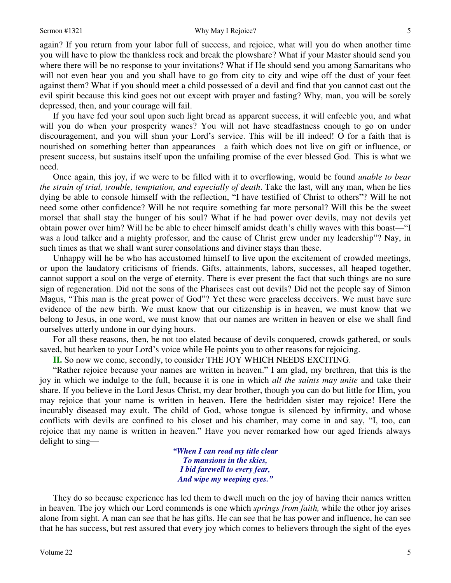again? If you return from your labor full of success, and rejoice, what will you do when another time you will have to plow the thankless rock and break the plowshare? What if your Master should send you where there will be no response to your invitations? What if He should send you among Samaritans who will not even hear you and you shall have to go from city to city and wipe off the dust of your feet against them? What if you should meet a child possessed of a devil and find that you cannot cast out the evil spirit because this kind goes not out except with prayer and fasting? Why, man, you will be sorely depressed, then, and your courage will fail.

 If you have fed your soul upon such light bread as apparent success, it will enfeeble you, and what will you do when your prosperity wanes? You will not have steadfastness enough to go on under discouragement, and you will shun your Lord's service. This will be ill indeed! O for a faith that is nourished on something better than appearances—a faith which does not live on gift or influence, or present success, but sustains itself upon the unfailing promise of the ever blessed God. This is what we need.

 Once again, this joy, if we were to be filled with it to overflowing, would be found *unable to bear the strain of trial, trouble, temptation, and especially of death*. Take the last, will any man, when he lies dying be able to console himself with the reflection, "I have testified of Christ to others"? Will he not need some other confidence? Will he not require something far more personal? Will this be the sweet morsel that shall stay the hunger of his soul? What if he had power over devils, may not devils yet obtain power over him? Will he be able to cheer himself amidst death's chilly waves with this boast—"I was a loud talker and a mighty professor, and the cause of Christ grew under my leadership"? Nay, in such times as that we shall want surer consolations and diviner stays than these.

 Unhappy will he be who has accustomed himself to live upon the excitement of crowded meetings, or upon the laudatory criticisms of friends. Gifts, attainments, labors, successes, all heaped together, cannot support a soul on the verge of eternity. There is ever present the fact that such things are no sure sign of regeneration. Did not the sons of the Pharisees cast out devils? Did not the people say of Simon Magus, "This man is the great power of God"? Yet these were graceless deceivers. We must have sure evidence of the new birth. We must know that our citizenship is in heaven, we must know that we belong to Jesus, in one word, we must know that our names are written in heaven or else we shall find ourselves utterly undone in our dying hours.

 For all these reasons, then, be not too elated because of devils conquered, crowds gathered, or souls saved, but hearken to your Lord's voice while He points you to other reasons for rejoicing.

**II.** So now we come, secondly, to consider THE JOY WHICH NEEDS EXCITING.

"Rather rejoice because your names are written in heaven." I am glad, my brethren, that this is the joy in which we indulge to the full, because it is one in which *all the saints may unite* and take their share. If you believe in the Lord Jesus Christ, my dear brother, though you can do but little for Him, you may rejoice that your name is written in heaven. Here the bedridden sister may rejoice! Here the incurably diseased may exult. The child of God, whose tongue is silenced by infirmity, and whose conflicts with devils are confined to his closet and his chamber, may come in and say, "I, too, can rejoice that my name is written in heaven." Have you never remarked how our aged friends always delight to sing—

> *"When I can read my title clear To mansions in the skies, I bid farewell to every fear, And wipe my weeping eyes."*

 They do so because experience has led them to dwell much on the joy of having their names written in heaven. The joy which our Lord commends is one which *springs from faith,* while the other joy arises alone from sight. A man can see that he has gifts. He can see that he has power and influence, he can see that he has success, but rest assured that every joy which comes to believers through the sight of the eyes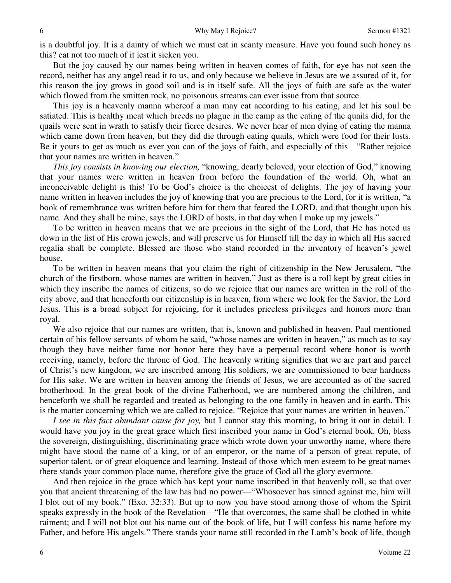is a doubtful joy. It is a dainty of which we must eat in scanty measure. Have you found such honey as this? eat not too much of it lest it sicken you.

 But the joy caused by our names being written in heaven comes of faith, for eye has not seen the record, neither has any angel read it to us, and only because we believe in Jesus are we assured of it, for this reason the joy grows in good soil and is in itself safe. All the joys of faith are safe as the water which flowed from the smitten rock, no poisonous streams can ever issue from that source.

 This joy is a heavenly manna whereof a man may eat according to his eating, and let his soul be satiated. This is healthy meat which breeds no plague in the camp as the eating of the quails did, for the quails were sent in wrath to satisfy their fierce desires. We never hear of men dying of eating the manna which came down from heaven, but they did die through eating quails, which were food for their lusts. Be it yours to get as much as ever you can of the joys of faith, and especially of this—"Rather rejoice that your names are written in heaven."

*This joy consists in knowing our election,* "knowing, dearly beloved, your election of God," knowing that your names were written in heaven from before the foundation of the world. Oh, what an inconceivable delight is this! To be God's choice is the choicest of delights. The joy of having your name written in heaven includes the joy of knowing that you are precious to the Lord, for it is written, "a book of remembrance was written before him for them that feared the LORD, and that thought upon his name. And they shall be mine, says the LORD of hosts, in that day when I make up my jewels."

 To be written in heaven means that we are precious in the sight of the Lord, that He has noted us down in the list of His crown jewels, and will preserve us for Himself till the day in which all His sacred regalia shall be complete. Blessed are those who stand recorded in the inventory of heaven's jewel house.

 To be written in heaven means that you claim the right of citizenship in the New Jerusalem, "the church of the firstborn, whose names are written in heaven." Just as there is a roll kept by great cities in which they inscribe the names of citizens, so do we rejoice that our names are written in the roll of the city above, and that henceforth our citizenship is in heaven, from where we look for the Savior, the Lord Jesus. This is a broad subject for rejoicing, for it includes priceless privileges and honors more than royal.

 We also rejoice that our names are written, that is, known and published in heaven. Paul mentioned certain of his fellow servants of whom he said, "whose names are written in heaven," as much as to say though they have neither fame nor honor here they have a perpetual record where honor is worth receiving, namely, before the throne of God. The heavenly writing signifies that we are part and parcel of Christ's new kingdom, we are inscribed among His soldiers, we are commissioned to bear hardness for His sake. We are written in heaven among the friends of Jesus, we are accounted as of the sacred brotherhood. In the great book of the divine Fatherhood, we are numbered among the children, and henceforth we shall be regarded and treated as belonging to the one family in heaven and in earth. This is the matter concerning which we are called to rejoice. "Rejoice that your names are written in heaven."

*I see in this fact abundant cause for joy,* but I cannot stay this morning, to bring it out in detail. I would have you joy in the great grace which first inscribed your name in God's eternal book. Oh, bless the sovereign, distinguishing, discriminating grace which wrote down your unworthy name, where there might have stood the name of a king, or of an emperor, or the name of a person of great repute, of superior talent, or of great eloquence and learning. Instead of those which men esteem to be great names there stands your common place name, therefore give the grace of God all the glory evermore.

 And then rejoice in the grace which has kept your name inscribed in that heavenly roll, so that over you that ancient threatening of the law has had no power—"Whosoever has sinned against me, him will I blot out of my book." (Exo. 32:33). But up to now you have stood among those of whom the Spirit speaks expressly in the book of the Revelation—"He that overcomes, the same shall be clothed in white raiment; and I will not blot out his name out of the book of life, but I will confess his name before my Father, and before His angels." There stands your name still recorded in the Lamb's book of life, though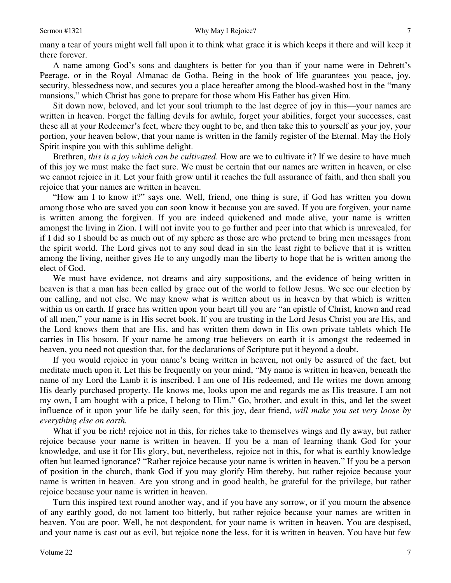many a tear of yours might well fall upon it to think what grace it is which keeps it there and will keep it there forever.

 A name among God's sons and daughters is better for you than if your name were in Debrett's Peerage, or in the Royal Almanac de Gotha. Being in the book of life guarantees you peace, joy, security, blessedness now, and secures you a place hereafter among the blood-washed host in the "many mansions," which Christ has gone to prepare for those whom His Father has given Him.

 Sit down now, beloved, and let your soul triumph to the last degree of joy in this—your names are written in heaven. Forget the falling devils for awhile, forget your abilities, forget your successes, cast these all at your Redeemer's feet, where they ought to be, and then take this to yourself as your joy, your portion, your heaven below, that your name is written in the family register of the Eternal. May the Holy Spirit inspire you with this sublime delight.

 Brethren, *this is a joy which can be cultivated*. How are we to cultivate it? If we desire to have much of this joy we must make the fact sure. We must be certain that our names are written in heaven, or else we cannot rejoice in it. Let your faith grow until it reaches the full assurance of faith, and then shall you rejoice that your names are written in heaven.

"How am I to know it?" says one. Well, friend, one thing is sure, if God has written you down among those who are saved you can soon know it because you are saved. If you are forgiven, your name is written among the forgiven. If you are indeed quickened and made alive, your name is written amongst the living in Zion. I will not invite you to go further and peer into that which is unrevealed, for if I did so I should be as much out of my sphere as those are who pretend to bring men messages from the spirit world. The Lord gives not to any soul dead in sin the least right to believe that it is written among the living, neither gives He to any ungodly man the liberty to hope that he is written among the elect of God.

 We must have evidence, not dreams and airy suppositions, and the evidence of being written in heaven is that a man has been called by grace out of the world to follow Jesus. We see our election by our calling, and not else. We may know what is written about us in heaven by that which is written within us on earth. If grace has written upon your heart till you are "an epistle of Christ, known and read of all men," your name is in His secret book. If you are trusting in the Lord Jesus Christ you are His, and the Lord knows them that are His, and has written them down in His own private tablets which He carries in His bosom. If your name be among true believers on earth it is amongst the redeemed in heaven, you need not question that, for the declarations of Scripture put it beyond a doubt.

 If you would rejoice in your name's being written in heaven, not only be assured of the fact, but meditate much upon it. Let this be frequently on your mind, "My name is written in heaven, beneath the name of my Lord the Lamb it is inscribed. I am one of His redeemed, and He writes me down among His dearly purchased property. He knows me, looks upon me and regards me as His treasure. I am not my own, I am bought with a price, I belong to Him." Go, brother, and exult in this, and let the sweet influence of it upon your life be daily seen, for this joy, dear friend, *will make you set very loose by everything else on earth.*

What if you be rich! rejoice not in this, for riches take to themselves wings and fly away, but rather rejoice because your name is written in heaven. If you be a man of learning thank God for your knowledge, and use it for His glory, but, nevertheless, rejoice not in this, for what is earthly knowledge often but learned ignorance? "Rather rejoice because your name is written in heaven." If you be a person of position in the church, thank God if you may glorify Him thereby, but rather rejoice because your name is written in heaven. Are you strong and in good health, be grateful for the privilege, but rather rejoice because your name is written in heaven.

 Turn this inspired text round another way, and if you have any sorrow, or if you mourn the absence of any earthly good, do not lament too bitterly, but rather rejoice because your names are written in heaven. You are poor. Well, be not despondent, for your name is written in heaven. You are despised, and your name is cast out as evil, but rejoice none the less, for it is written in heaven. You have but few

7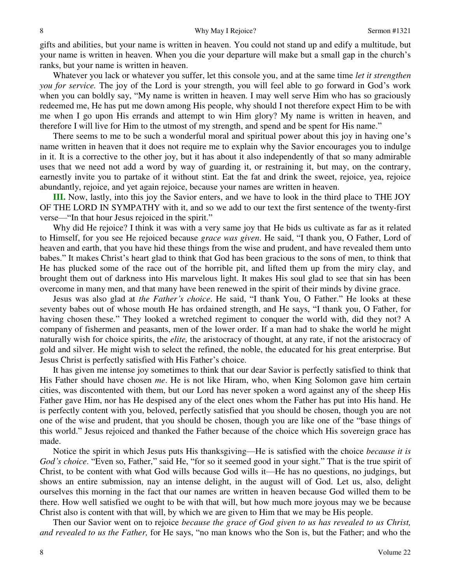gifts and abilities, but your name is written in heaven. You could not stand up and edify a multitude, but your name is written in heaven. When you die your departure will make but a small gap in the church's ranks, but your name is written in heaven.

 Whatever you lack or whatever you suffer, let this console you, and at the same time *let it strengthen you for service.* The joy of the Lord is your strength, you will feel able to go forward in God's work when you can boldly say, "My name is written in heaven. I may well serve Him who has so graciously redeemed me, He has put me down among His people, why should I not therefore expect Him to be with me when I go upon His errands and attempt to win Him glory? My name is written in heaven, and therefore I will live for Him to the utmost of my strength, and spend and be spent for His name."

 There seems to me to be such a wonderful moral and spiritual power about this joy in having one's name written in heaven that it does not require me to explain why the Savior encourages you to indulge in it. It is a corrective to the other joy, but it has about it also independently of that so many admirable uses that we need not add a word by way of guarding it, or restraining it, but may, on the contrary, earnestly invite you to partake of it without stint. Eat the fat and drink the sweet, rejoice, yea, rejoice abundantly, rejoice, and yet again rejoice, because your names are written in heaven.

**III.** Now, lastly, into this joy the Savior enters, and we have to look in the third place to THE JOY OF THE LORD IN SYMPATHY with it, and so we add to our text the first sentence of the twenty-first verse—"In that hour Jesus rejoiced in the spirit."

 Why did He rejoice? I think it was with a very same joy that He bids us cultivate as far as it related to Himself, for you see He rejoiced because *grace was given*. He said, "I thank you, O Father, Lord of heaven and earth, that you have hid these things from the wise and prudent, and have revealed them unto babes." It makes Christ's heart glad to think that God has been gracious to the sons of men, to think that He has plucked some of the race out of the horrible pit, and lifted them up from the miry clay, and brought them out of darkness into His marvelous light. It makes His soul glad to see that sin has been overcome in many men, and that many have been renewed in the spirit of their minds by divine grace.

 Jesus was also glad at *the Father's choice*. He said, "I thank You, O Father." He looks at these seventy babes out of whose mouth He has ordained strength, and He says, "I thank you, O Father, for having chosen these." They looked a wretched regiment to conquer the world with, did they not? A company of fishermen and peasants, men of the lower order. If a man had to shake the world he might naturally wish for choice spirits, the *elite,* the aristocracy of thought, at any rate, if not the aristocracy of gold and silver. He might wish to select the refined, the noble, the educated for his great enterprise. But Jesus Christ is perfectly satisfied with His Father's choice.

 It has given me intense joy sometimes to think that our dear Savior is perfectly satisfied to think that His Father should have chosen *me*. He is not like Hiram, who, when King Solomon gave him certain cities, was discontented with them, but our Lord has never spoken a word against any of the sheep His Father gave Him, nor has He despised any of the elect ones whom the Father has put into His hand. He is perfectly content with you, beloved, perfectly satisfied that you should be chosen, though you are not one of the wise and prudent, that you should be chosen, though you are like one of the "base things of this world." Jesus rejoiced and thanked the Father because of the choice which His sovereign grace has made.

 Notice the spirit in which Jesus puts His thanksgiving—He is satisfied with the choice *because it is God's choice*. "Even so, Father," said He, "for so it seemed good in your sight." That is the true spirit of Christ, to be content with what God wills because God wills it—He has no questions, no judgings, but shows an entire submission, nay an intense delight, in the august will of God. Let us, also, delight ourselves this morning in the fact that our names are written in heaven because God willed them to be there. How well satisfied we ought to be with that will, but how much more joyous may we be because Christ also is content with that will, by which we are given to Him that we may be His people.

 Then our Savior went on to rejoice *because the grace of God given to us has revealed to us Christ, and revealed to us the Father,* for He says, "no man knows who the Son is, but the Father; and who the